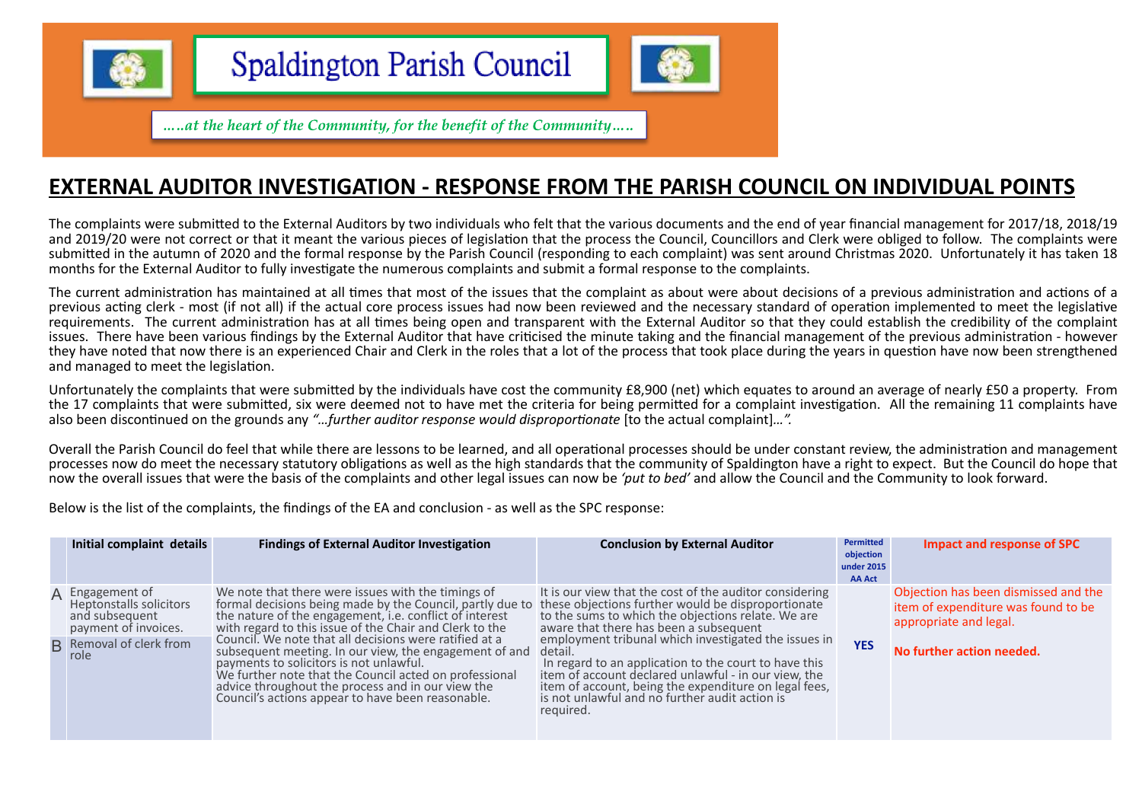

d<br>Maria<br>Maria

**Spaldington Parish Council** 



....at the heart of the Community, for the benefit of the Community.....

### **EXTERNAL AUDITOR INVESTIGATION - RESPONSE FROM THE PARISH COUNCIL ON INDIVIDUAL POINTS**

The complaints were submitted to the External Auditors by two individuals who felt that the various documents and the end of year financial management for 2017/18, 2018/19 and 2019/20 were not correct or that it meant the various pieces of legislation that the process the Council, Councillors and Clerk were obliged to follow. The complaints were submitted in the autumn of 2020 and the formal response by the Parish Council (responding to each complaint) was sent around Christmas 2020. Unfortunately it has taken 18 months for the External Auditor to fully investigate the numerous complaints and submit a formal response to the complaints.

The current administration has maintained at all times that most of the issues that the complaint as about were about decisions of a previous administration and actions of a previous acting clerk - most (if not all) if the actual core process issues had now been reviewed and the necessary standard of operation implemented to meet the legislative requirements. The current administration has at all times being open and transparent with the External Auditor so that they could establish the credibility of the complaint issues. There have been various findings by the External Auditor that have criticised the minute taking and the financial management of the previous administration - however they have noted that now there is an experienced Chair and Clerk in the roles that a lot of the process that took place during the years in question have now been strengthened and managed to meet the legislation.

Unfortunately the complaints that were submitted by the individuals have cost the community £8,900 (net) which equates to around an average of nearly £50 a property. From the 17 complaints that were submitted, six were deemed not to have met the criteria for being permitted for a complaint investigation. All the remaining 11 complaints have also been discontinued on the grounds any *"…further auditor response would disproportionate* [to the actual complaint]*…".* 

Overall the Parish Council do feel that while there are lessons to be learned, and all operational processes should be under constant review, the administration and management processes now do meet the necessary statutory obligations as well as the high standards that the community of Spaldington have a right to expect. But the Council do hope that now the overall issues that were the basis of the complaints and other legal issues can now be *'put to bed'* and allow the Council and the Community to look forward.

Below is the list of the complaints, the findings of the EA and conclusion - as well as the SPC response:

| Initial complaint details                                                                   | <b>Findings of External Auditor Investigation</b>                                                                                                                                                                                                                                                                               | <b>Conclusion by External Auditor</b>                                                                                                                                                                                                                                                                    | Permitted<br>objection<br>under 2015<br><b>AA Act</b> | <b>Impact and response of SPC</b>                                                                     |
|---------------------------------------------------------------------------------------------|---------------------------------------------------------------------------------------------------------------------------------------------------------------------------------------------------------------------------------------------------------------------------------------------------------------------------------|----------------------------------------------------------------------------------------------------------------------------------------------------------------------------------------------------------------------------------------------------------------------------------------------------------|-------------------------------------------------------|-------------------------------------------------------------------------------------------------------|
| A Engagement of<br><b>Heptonstalls solicitors</b><br>and subsequent<br>payment of invoices. | We note that there were issues with the timings of<br>formal decisions being made by the Council, partly due to<br>the nature of the engagement, i.e. conflict of interest<br>with regard to this issue of the Chair and Clerk to the                                                                                           | It is our view that the cost of the auditor considering<br>these objections further would be disproportionate<br>to the sums to which the objections relate. We are<br>aware that there has been a subsequent                                                                                            |                                                       | Objection has been dismissed and the<br>item of expenditure was found to be<br>appropriate and legal. |
| <b>B</b> Removal of clerk from<br>role                                                      | Council. We note that all decisions were ratified at a<br>subsequent meeting. In our view, the engagement of and<br>payments to solicitors is not unlawful.<br>We further note that the Council acted on professional<br>advice throughout the process and in our view the<br>Council's actions appear to have been reasonable. | employment tribunal which investigated the issues in<br>detail.<br>In regard to an application to the court to have this<br>item of account declared unlawful - in our view, the<br>item of account, being the expenditure on legal fees,<br>is not unlawful and no further audit action is<br>required. | <b>YES</b>                                            | No further action needed.                                                                             |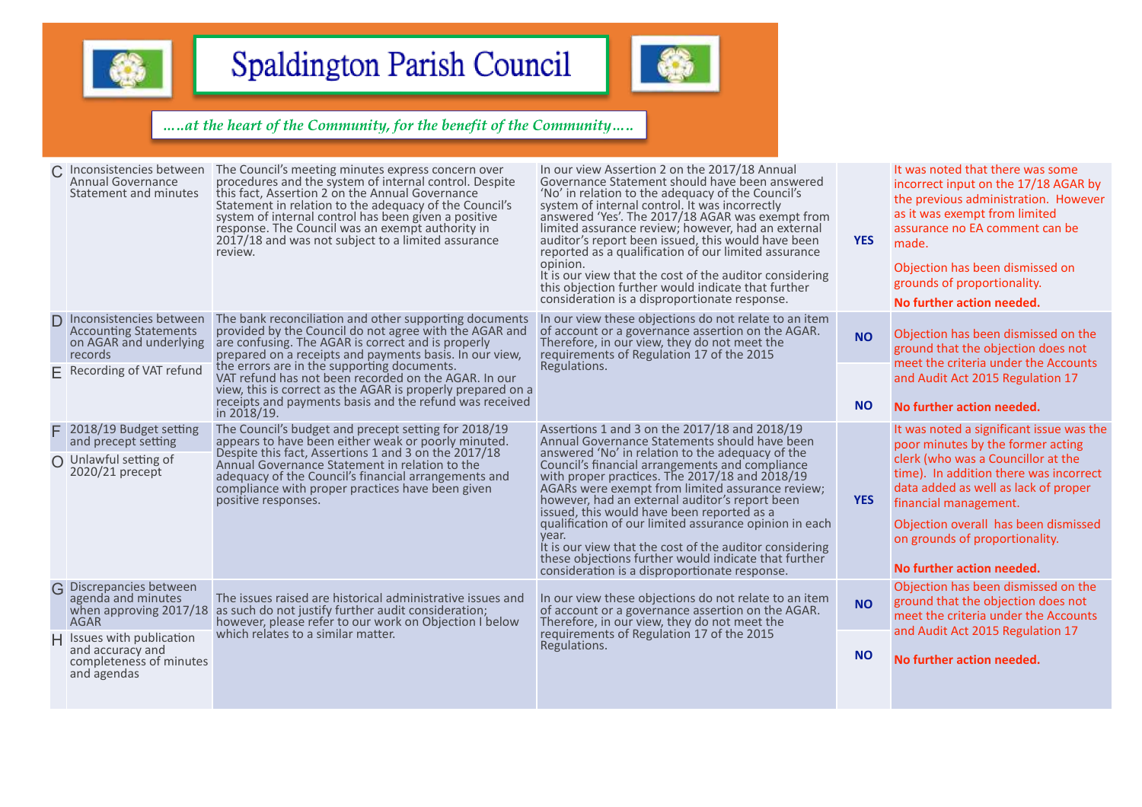



| Inconsistencies between<br>Annual Governance<br>Statement and minutes                        | The Council's meeting minutes express concern over<br>procedures and the system of internal control. Despite<br>this fact, Assertion 2 on the Annual Governance<br>Statement in relation to the adequacy of the Council's<br>system of internal control has been given a positive<br>response. The Council was an exempt authority in<br>2017/18 and was not subject to a limited assurance<br>review. | In our view Assertion 2 on the 2017/18 Annual<br>Governance Statement should have been answered<br>'No' in relation to the adequacy of the Council's<br>system of internal control. It was incorrectly<br>answered 'Yes'. The 2017/18 AGAR was exempt from<br>limited assurance review; however, had an external<br>auditor's report been issued, this would have been<br>reported as a qualification of our limited assurance<br>opinion.<br>It is our view that the cost of the auditor considering<br>this objection further would indicate that further<br>consideration is a disproportionate response.                                       | <b>YES</b> | It was noted that there was some<br>incorrect input on the 17/18 AGAR by<br>the previous administration. However<br>as it was exempt from limited<br>assurance no EA comment can be<br>made.<br>Objection has been dismissed on<br>grounds of proportionality.<br>No further action needed.                                           |
|----------------------------------------------------------------------------------------------|--------------------------------------------------------------------------------------------------------------------------------------------------------------------------------------------------------------------------------------------------------------------------------------------------------------------------------------------------------------------------------------------------------|----------------------------------------------------------------------------------------------------------------------------------------------------------------------------------------------------------------------------------------------------------------------------------------------------------------------------------------------------------------------------------------------------------------------------------------------------------------------------------------------------------------------------------------------------------------------------------------------------------------------------------------------------|------------|---------------------------------------------------------------------------------------------------------------------------------------------------------------------------------------------------------------------------------------------------------------------------------------------------------------------------------------|
| Inconsistencies between<br><b>Accounting Statements</b><br>on AGAR and underlying<br>records | The bank reconciliation and other supporting documents<br>provided by the Council do not agree with the AGAR and<br>are confusing. The AGAR is correct and is properly<br>prepared on a receipts and payments basis. In our view,                                                                                                                                                                      | In our view these objections do not relate to an item<br>of account or a governance assertion on the AGAR.<br>Therefore, in our view, they do not meet the<br>requirements of Regulation 17 of the 2015                                                                                                                                                                                                                                                                                                                                                                                                                                            | <b>NO</b>  | Objection has been dismissed on the<br>ground that the objection does not                                                                                                                                                                                                                                                             |
| $E$ Recording of VAT refund                                                                  | the errors are in the supporting documents.<br>VAT refund has not been recorded on the AGAR. In our<br>view, this is correct as the AGAR is properly prepared on a<br>receipts and payments basis and the refund was received<br>in 2018/19.                                                                                                                                                           | Regulations.                                                                                                                                                                                                                                                                                                                                                                                                                                                                                                                                                                                                                                       | <b>NO</b>  | meet the criteria under the Accounts<br>and Audit Act 2015 Regulation 17<br>No further action needed.                                                                                                                                                                                                                                 |
| 2018/19 Budget setting<br>and precept setting<br>O Unlawful setting of<br>2020/21 precept    | The Council's budget and precept setting for 2018/19<br>appears to have been either weak or poorly minuted.<br>Despite this fact, Assertions 1 and 3 on the 2017/18<br>Annual Governance Statement in relation to the<br>adequacy of the Council's financial arrangements and<br>compliance with proper practices have been given<br>positive responses.                                               | Assertions 1 and 3 on the 2017/18 and 2018/19<br>Annual Governance Statements should have been<br>answered 'No' in relation to the adequacy of the<br>Council's financial arrangements and compliance<br>with proper practices. The 2017/18 and 2018/19<br>AGARs were exempt from limited assurance review;<br>however, had an external auditor's report been<br>issued, this would have been reported as a<br>qualification of our limited assurance opinion in each<br>vear.<br>It is our view that the cost of the auditor considering<br>these objections further would indicate that further<br>consideration is a disproportionate response. | <b>YES</b> | It was noted a significant issue was the<br>poor minutes by the former acting<br>clerk (who was a Councillor at the<br>time). In addition there was incorrect<br>data added as well as lack of proper<br>financial management.<br>Objection overall has been dismissed<br>on grounds of proportionality.<br>No further action needed. |
| G Discrepancies between<br>agenda and minutes<br><b>AGAR</b><br>Issues with publication      | The issues raised are historical administrative issues and<br>when approving 2017/18 as such do not justify further audit consideration;<br>however, please refer to our work on Objection I below<br>which relates to a similar matter.                                                                                                                                                               | In our view these objections do not relate to an item<br>of account or a governance assertion on the AGAR.<br>Therefore, in our view, they do not meet the<br>requirements of Regulation 17 of the 2015<br>Regulations.                                                                                                                                                                                                                                                                                                                                                                                                                            | <b>NO</b>  | Objection has been dismissed on the<br>ground that the objection does not<br>meet the criteria under the Accounts<br>and Audit Act 2015 Regulation 17                                                                                                                                                                                 |
| and accuracy and<br>completeness of minutes<br>and agendas                                   |                                                                                                                                                                                                                                                                                                                                                                                                        |                                                                                                                                                                                                                                                                                                                                                                                                                                                                                                                                                                                                                                                    | <b>NO</b>  | No further action needed.                                                                                                                                                                                                                                                                                                             |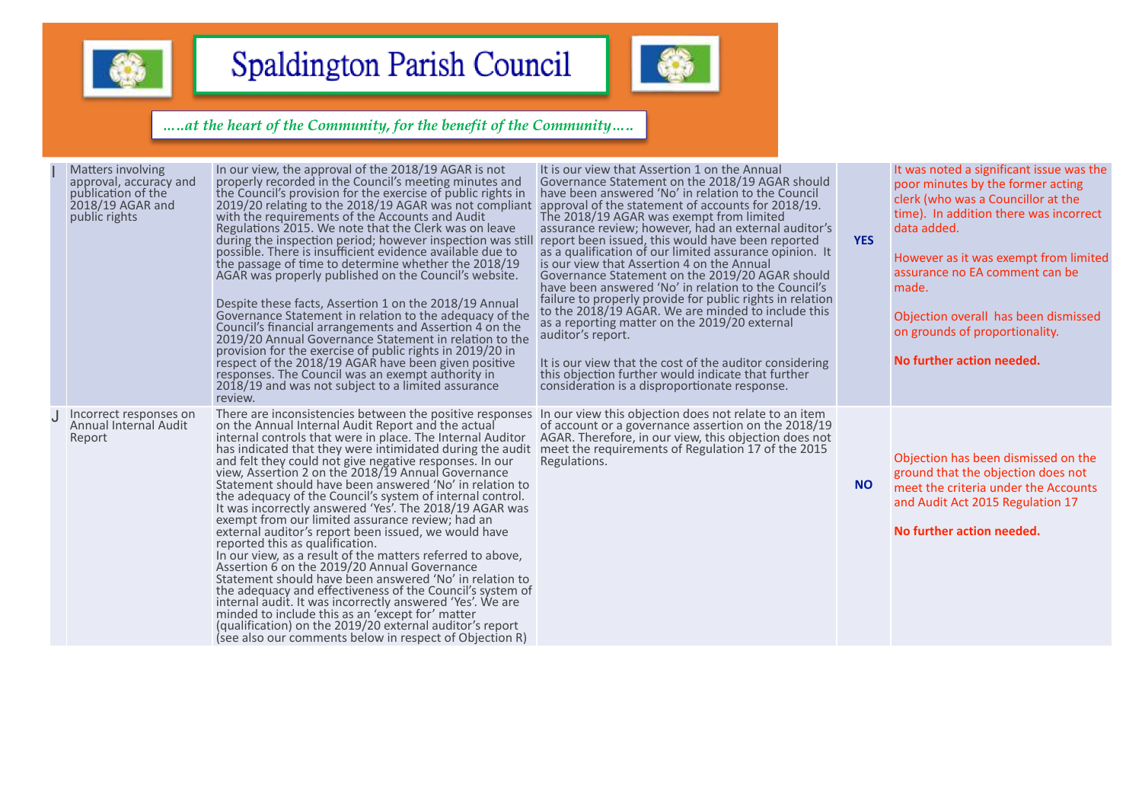



| Matters involving<br>approval, accuracy and<br>publication of the<br>2018/19 AGAR and<br>public rights | In our view, the approval of the 2018/19 AGAR is not<br>properly recorded in the Council's meeting minutes and<br>the Council's provision for the exercise of public rights in<br>2019/20 relating to the 2018/19 AGAR was not compliant<br>with the requirements of the Accounts and Audit<br>Regulations 2015. We note that the Clerk was on leave<br>during the inspection period; however inspection was still<br>possible. There is insufficient evidence available due to<br>the passage of time to determine whether the 2018/19<br>AGAR was properly published on the Council's website.<br>Despite these facts, Assertion 1 on the 2018/19 Annual<br>Governance Statement in relation to the adequacy of the<br>Council's financial arrangements and Assertion 4 on the<br>2019/20 Annual Governance Statement in relation to the<br>provision for the exercise of public rights in 2019/20 in<br>respect of the 2018/19 AGAR have been given positive<br>responses. The Council was an exempt authority in<br>2018/19 and was not subject to a limited assurance<br>review.                                                                                      | It is our view that Assertion 1 on the Annual<br>Governance Statement on the 2018/19 AGAR should<br>have been answered 'No' in relation to the Council<br>approval of the statement of accounts for 2018/19.<br>The 2018/19 AGAR was exempt from limited<br>assurance review; however, had an external auditor's<br>report been issued, this would have been reported<br>as a qualification of our limited assurance opinion. It<br>is our view that Assertion 4 on the Annual<br>Governance Statement on the 2019/20 AGAR should<br>have been answered 'No' in relation to the Council's<br>failure to properly provide for public rights in relation<br>to the 2018/19 AGAR. We are minded to include this<br>as a reporting matter on the 2019/20 external<br>auditor's report.<br>It is our view that the cost of the auditor considering<br>this objection further would indicate that further<br>consideration is a disproportionate response. | <b>YES</b> | It was noted a significant issue was the<br>poor minutes by the former acting<br>clerk (who was a Councillor at the<br>time). In addition there was incorrect<br>data added.<br>However as it was exempt from limited<br>assurance no EA comment can be<br>made.<br>Objection overall has been dismissed<br>on grounds of proportionality.<br>No further action needed. |
|--------------------------------------------------------------------------------------------------------|----------------------------------------------------------------------------------------------------------------------------------------------------------------------------------------------------------------------------------------------------------------------------------------------------------------------------------------------------------------------------------------------------------------------------------------------------------------------------------------------------------------------------------------------------------------------------------------------------------------------------------------------------------------------------------------------------------------------------------------------------------------------------------------------------------------------------------------------------------------------------------------------------------------------------------------------------------------------------------------------------------------------------------------------------------------------------------------------------------------------------------------------------------------------------|------------------------------------------------------------------------------------------------------------------------------------------------------------------------------------------------------------------------------------------------------------------------------------------------------------------------------------------------------------------------------------------------------------------------------------------------------------------------------------------------------------------------------------------------------------------------------------------------------------------------------------------------------------------------------------------------------------------------------------------------------------------------------------------------------------------------------------------------------------------------------------------------------------------------------------------------------|------------|-------------------------------------------------------------------------------------------------------------------------------------------------------------------------------------------------------------------------------------------------------------------------------------------------------------------------------------------------------------------------|
| Incorrect responses on<br>Annual Internal Audit<br>Report                                              | There are inconsistencies between the positive responses<br>on the Annual Internal Audit Report and the actual<br>internal controls that were in place. The Internal Auditor<br>has indicated that they were intimidated during the audit<br>and felt they could not give negative responses. In our<br>view, Assertion 2 on the 2018/19 Annual Governance<br>Statement should have been answered 'No' in relation to<br>the adequacy of the Council's system of internal control.<br>It was incorrectly answered 'Yes'. The 2018/19 AGAR was<br>exempt from our limited assurance review; had an<br>external auditor's report been issued, we would have<br>reported this as qualification.<br>In our view, as a result of the matters referred to above,<br>Assertion 6 on the 2019/20 Annual Governance<br>Statement should have been answered 'No' in relation to<br>the adequacy and effectiveness of the Council's system of<br>internal audit. It was incorrectly answered 'Yes'. We are<br>minded to include this as an 'except for' matter<br>(qualification) on the 2019/20 external auditor's report<br>(see also our comments below in respect of Objection R) | In our view this objection does not relate to an item<br>of account or a governance assertion on the 2018/19<br>AGAR. Therefore, in our view, this objection does not<br>meet the requirements of Regulation 17 of the 2015<br>Regulations.                                                                                                                                                                                                                                                                                                                                                                                                                                                                                                                                                                                                                                                                                                          | <b>NO</b>  | Objection has been dismissed on the<br>ground that the objection does not<br>meet the criteria under the Accounts<br>and Audit Act 2015 Regulation 17<br>No further action needed.                                                                                                                                                                                      |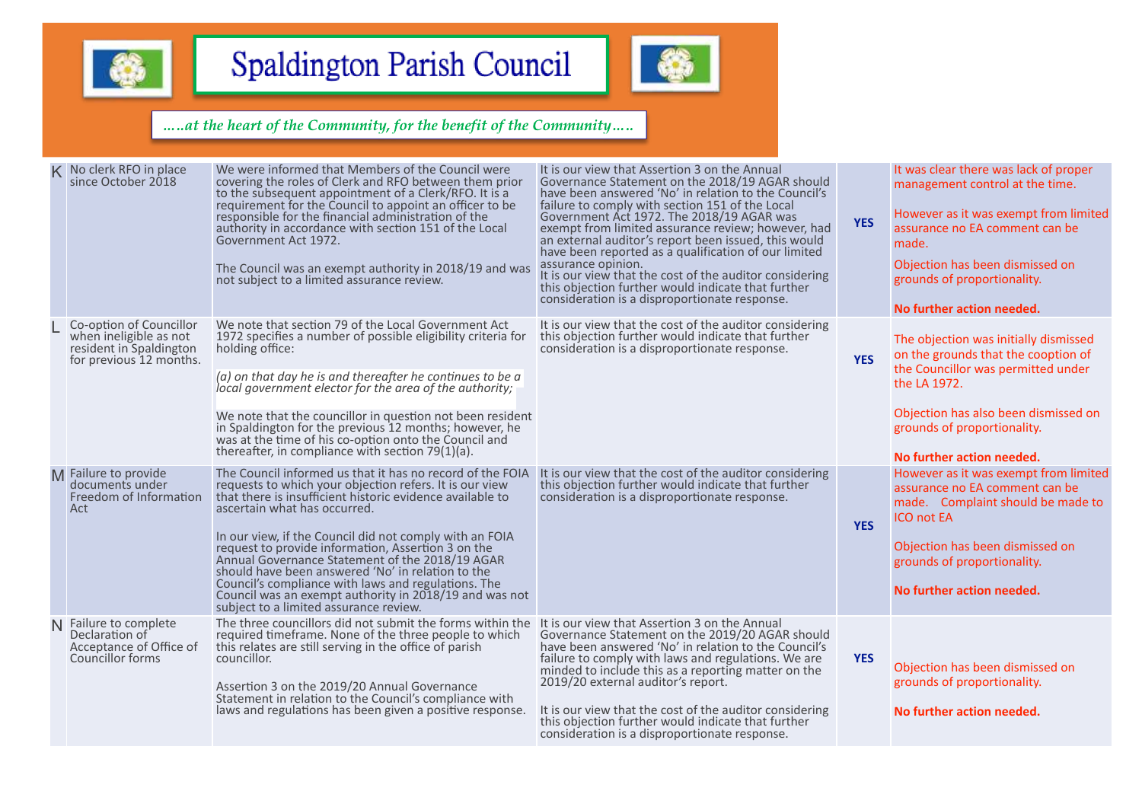



|   | K No clerk RFO in place<br>since October 2018                                                           | We were informed that Members of the Council were<br>covering the roles of Clerk and RFO between them prior<br>to the subsequent appointment of a Clerk/RFO. It is a<br>requirement for the Council to appoint an officer to be<br>responsible for the financial administration of the<br>authority in accordance with section 151 of the Local<br>Government Act 1972.<br>The Council was an exempt authority in 2018/19 and was<br>not subject to a limited assurance review.                                                                                                                       | It is our view that Assertion 3 on the Annual<br>Governance Statement on the 2018/19 AGAR should<br>have been answered 'No' in relation to the Council's<br>failure to comply with section 151 of the Local<br>Government Act 1972. The 2018/19 AGAR was<br>exempt from limited assurance review; however, had<br>an external auditor's report been issued, this would<br>have been reported as a qualification of our limited<br>assurance opinion.<br>It is our view that the cost of the auditor considering<br>this objection further would indicate that further<br>consideration is a disproportionate response. | <b>YES</b> | It was clear there was lack of proper<br>management control at the time.<br>However as it was exempt from limited<br>assurance no EA comment can be<br>made.<br>Objection has been dismissed on<br>grounds of proportionality.<br>No further action needed. |
|---|---------------------------------------------------------------------------------------------------------|-------------------------------------------------------------------------------------------------------------------------------------------------------------------------------------------------------------------------------------------------------------------------------------------------------------------------------------------------------------------------------------------------------------------------------------------------------------------------------------------------------------------------------------------------------------------------------------------------------|------------------------------------------------------------------------------------------------------------------------------------------------------------------------------------------------------------------------------------------------------------------------------------------------------------------------------------------------------------------------------------------------------------------------------------------------------------------------------------------------------------------------------------------------------------------------------------------------------------------------|------------|-------------------------------------------------------------------------------------------------------------------------------------------------------------------------------------------------------------------------------------------------------------|
|   | Co-option of Councillor<br>when ineligible as not<br>resident in Spaldington<br>for previous 12 months. | We note that section 79 of the Local Government Act<br>1972 specifies a number of possible eligibility criteria for<br>holding office:<br>$(a)$ on that day he is and thereafter he continues to be a<br>local government elector for the area of the authority;<br>We note that the councillor in question not been resident<br>in Spaldington for the previous 12 months; however, he<br>was at the time of his co-option onto the Council and<br>thereafter, in compliance with section 79(1)(a).                                                                                                  | It is our view that the cost of the auditor considering<br>this objection further would indicate that further<br>consideration is a disproportionate response.                                                                                                                                                                                                                                                                                                                                                                                                                                                         | <b>YES</b> | The objection was initially dismissed<br>on the grounds that the cooption of<br>the Councillor was permitted under<br>the LA 1972.<br>Objection has also been dismissed on<br>grounds of proportionality.<br>No further action needed.                      |
| M | Failure to provide<br>documents under<br>Freedom of Information<br>Act                                  | The Council informed us that it has no record of the FOIA<br>requests to which your objection refers. It is our view<br>that there is insufficient historic evidence available to<br>ascertain what has occurred.<br>In our view, if the Council did not comply with an FOIA<br>request to provide information, Assertion 3 on the<br>Annual Governance Statement of the 2018/19 AGAR<br>should have been answered 'No' in relation to the<br>Council's compliance with laws and regulations. The<br>Council was an exempt authority in 2018/19 and was not<br>subject to a limited assurance review. | It is our view that the cost of the auditor considering<br>this objection further would indicate that further<br>consideration is a disproportionate response.                                                                                                                                                                                                                                                                                                                                                                                                                                                         | <b>YES</b> | However as it was exempt from limited<br>assurance no EA comment can be<br>made. Complaint should be made to<br><b>ICO not EA</b><br>Objection has been dismissed on<br>grounds of proportionality.<br>No further action needed.                            |
|   | Failure to complete<br>Declaration of<br>Acceptance of Office of<br>Councillor forms                    | The three councillors did not submit the forms within the<br>required timeframe. None of the three people to which<br>this relates are still serving in the office of parish<br>councillor.<br>Assertion 3 on the 2019/20 Annual Governance<br>Statement in relation to the Council's compliance with<br>laws and regulations has been given a positive response.                                                                                                                                                                                                                                     | It is our view that Assertion 3 on the Annual<br>Governance Statement on the 2019/20 AGAR should<br>have been answered 'No' in relation to the Council's<br>failure to comply with laws and regulations. We are<br>minded to include this as a reporting matter on the<br>2019/20 external auditor's report.<br>It is our view that the cost of the auditor considering<br>this objection further would indicate that further<br>consideration is a disproportionate response.                                                                                                                                         | <b>YES</b> | Objection has been dismissed on<br>grounds of proportionality.<br>No further action needed.                                                                                                                                                                 |